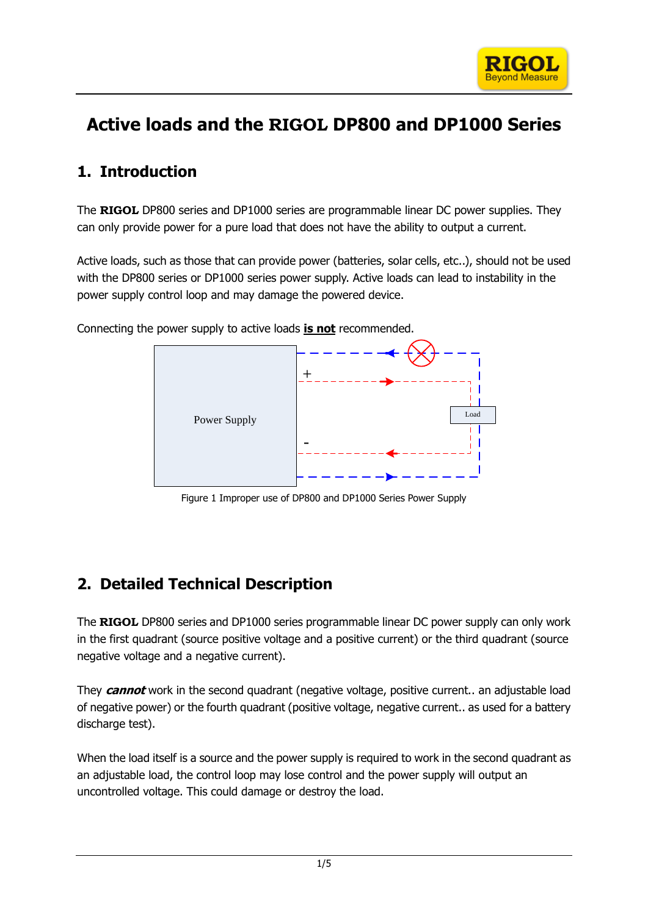

# **Active loads and the RIGOL DP800 and DP1000 Series**

## **1. Introduction**

The **RIGOL** DP800 series and DP1000 series are programmable linear DC power supplies. They can only provide power for a pure load that does not have the ability to output a current.

Active loads, such as those that can provide power (batteries, solar cells, etc..), should not be used with the DP800 series or DP1000 series power supply. Active loads can lead to instability in the power supply control loop and may damage the powered device.

Connecting the power supply to active loads **is not** recommended.



Figure 1 Improper use of DP800 and DP1000 Series Power Supply

### **2. Detailed Technical Description**

The **RIGOL** DP800 series and DP1000 series programmable linear DC power supply can only work in the first quadrant (source positive voltage and a positive current) or the third quadrant (source negative voltage and a negative current).

They **cannot** work in the second quadrant (negative voltage, positive current.. an adjustable load of negative power) or the fourth quadrant (positive voltage, negative current.. as used for a battery discharge test).

When the load itself is a source and the power supply is required to work in the second quadrant as an adjustable load, the control loop may lose control and the power supply will output an uncontrolled voltage. This could damage or destroy the load.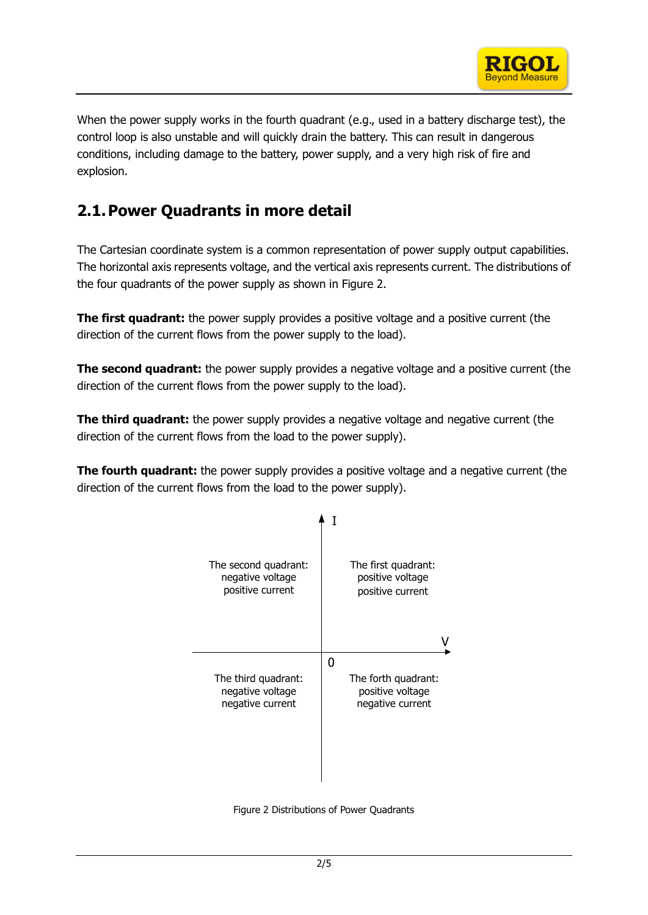

When the power supply works in the fourth quadrant (e.g., used in a battery discharge test), the control loop is also unstable and will quickly drain the battery. This can result in dangerous conditions, including damage to the battery, power supply, and a very high risk of fire and explosion.

### **2.1.Power Quadrants in more detail**

The Cartesian coordinate system is a common representation of power supply output capabilities. The horizontal axis represents voltage, and the vertical axis represents current. The distributions of the four quadrants of the power supply as shown in [Figure](#page-1-0) 2.

**The first quadrant:** the power supply provides a positive voltage and a positive current (the direction of the current flows from the power supply to the load).

**The second quadrant:** the power supply provides a negative voltage and a positive current (the direction of the current flows from the power supply to the load).

**The third quadrant:** the power supply provides a negative voltage and negative current (the direction of the current flows from the load to the power supply).

**The fourth quadrant:** the power supply provides a positive voltage and a negative current (the direction of the current flows from the load to the power supply).



<span id="page-1-0"></span>Figure 2 Distributions of Power Quadrants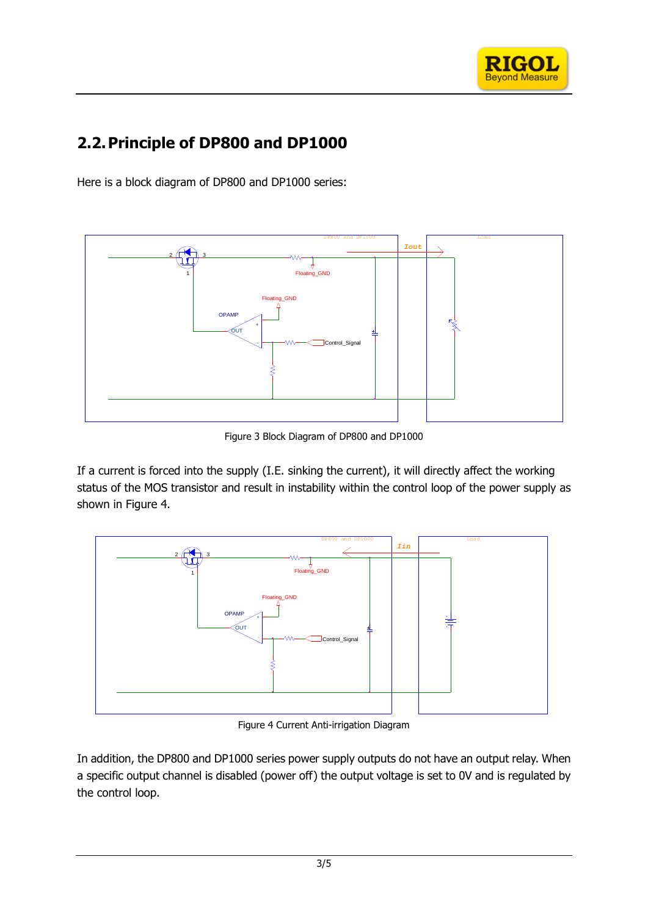

# **2.2.Principle of DP800 and DP1000**

Here is a block diagram of DP800 and DP1000 series:



Figure 3 Block Diagram of DP800 and DP1000

If a current is forced into the supply (I.E. sinking the current), it will directly affect the working status of the MOS transistor and result in instability within the control loop of the power supply as shown in [Figure 4.](#page-2-0)



Figure 4 Current Anti-irrigation Diagram

<span id="page-2-0"></span>In addition, the DP800 and DP1000 series power supply outputs do not have an output relay. When a specific output channel is disabled (power off) the output voltage is set to 0V and is regulated by the control loop.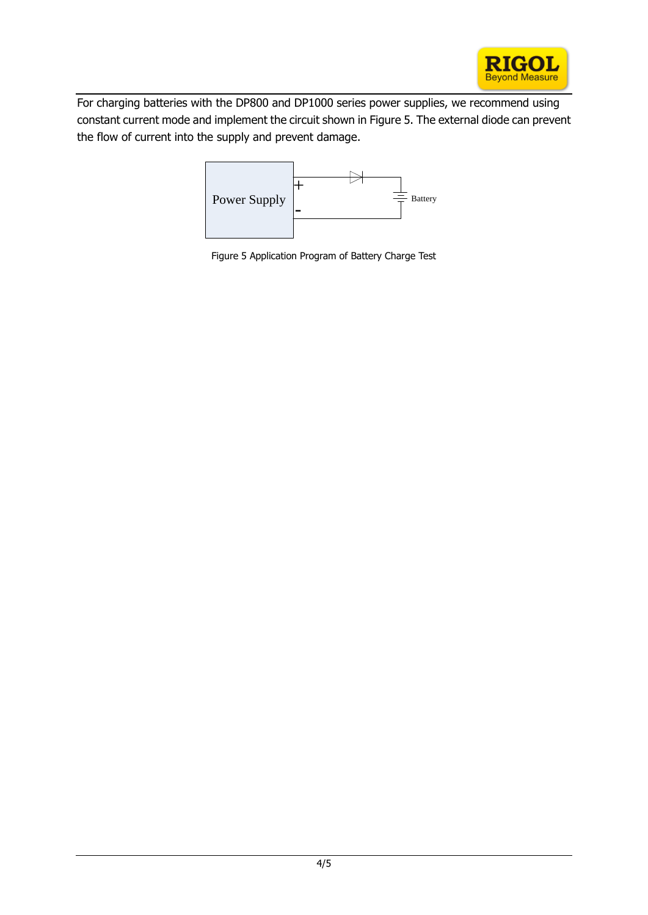

For charging batteries with the DP800 and DP1000 series power supplies, we recommend using constant current mode and implement the circuit shown in Figure 5. The external diode can prevent the flow of current into the supply and prevent damage.



Figure 5 Application Program of Battery Charge Test